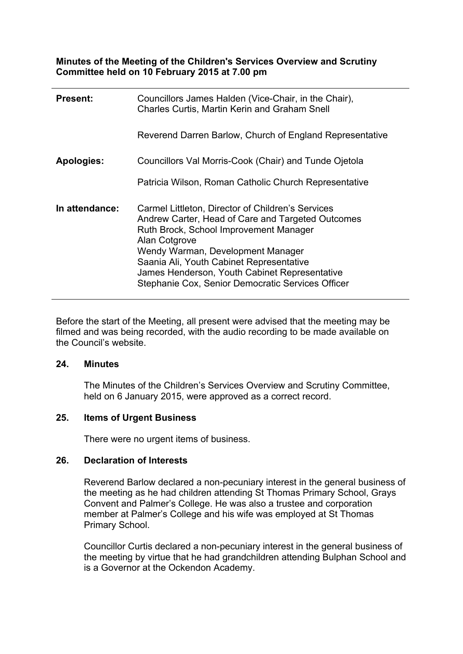**Minutes of the Meeting of the Children's Services Overview and Scrutiny Committee held on 10 February 2015 at 7.00 pm**

| <b>Present:</b> | Councillors James Halden (Vice-Chair, in the Chair),<br><b>Charles Curtis, Martin Kerin and Graham Snell</b>                                                                                                                                                                                                                                             |
|-----------------|----------------------------------------------------------------------------------------------------------------------------------------------------------------------------------------------------------------------------------------------------------------------------------------------------------------------------------------------------------|
|                 | Reverend Darren Barlow, Church of England Representative                                                                                                                                                                                                                                                                                                 |
| Apologies:      | Councillors Val Morris-Cook (Chair) and Tunde Ojetola                                                                                                                                                                                                                                                                                                    |
|                 | Patricia Wilson, Roman Catholic Church Representative                                                                                                                                                                                                                                                                                                    |
| In attendance:  | Carmel Littleton, Director of Children's Services<br>Andrew Carter, Head of Care and Targeted Outcomes<br>Ruth Brock, School Improvement Manager<br>Alan Cotgrove<br>Wendy Warman, Development Manager<br>Saania Ali, Youth Cabinet Representative<br>James Henderson, Youth Cabinet Representative<br>Stephanie Cox, Senior Democratic Services Officer |

Before the start of the Meeting, all present were advised that the meeting may be filmed and was being recorded, with the audio recording to be made available on the Council's website.

### **24. Minutes**

The Minutes of the Children's Services Overview and Scrutiny Committee, held on 6 January 2015, were approved as a correct record.

### **25. Items of Urgent Business**

There were no urgent items of business.

### **26. Declaration of Interests**

Reverend Barlow declared a non-pecuniary interest in the general business of the meeting as he had children attending St Thomas Primary School, Grays Convent and Palmer's College. He was also a trustee and corporation member at Palmer's College and his wife was employed at St Thomas Primary School.

Councillor Curtis declared a non-pecuniary interest in the general business of the meeting by virtue that he had grandchildren attending Bulphan School and is a Governor at the Ockendon Academy.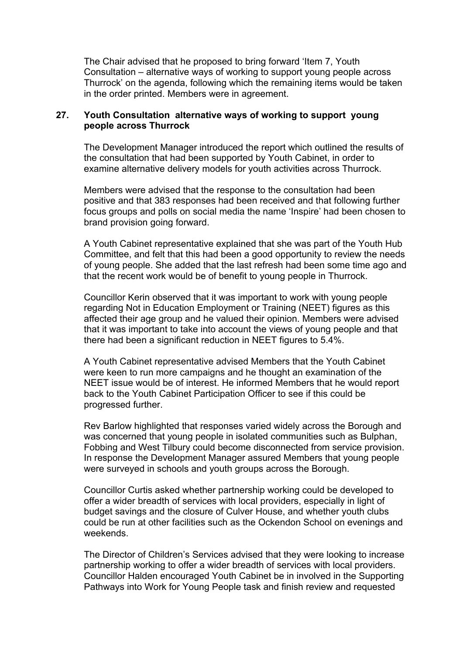The Chair advised that he proposed to bring forward 'Item 7, Youth Consultation – alternative ways of working to support young people across Thurrock' on the agenda, following which the remaining items would be taken in the order printed. Members were in agreement.

### **27. Youth Consultation alternative ways of working to support young people across Thurrock**

The Development Manager introduced the report which outlined the results of the consultation that had been supported by Youth Cabinet, in order to examine alternative delivery models for youth activities across Thurrock.

Members were advised that the response to the consultation had been positive and that 383 responses had been received and that following further focus groups and polls on social media the name 'Inspire' had been chosen to brand provision going forward.

A Youth Cabinet representative explained that she was part of the Youth Hub Committee, and felt that this had been a good opportunity to review the needs of young people. She added that the last refresh had been some time ago and that the recent work would be of benefit to young people in Thurrock.

Councillor Kerin observed that it was important to work with young people regarding Not in Education Employment or Training (NEET) figures as this affected their age group and he valued their opinion. Members were advised that it was important to take into account the views of young people and that there had been a significant reduction in NEET figures to 5.4%.

A Youth Cabinet representative advised Members that the Youth Cabinet were keen to run more campaigns and he thought an examination of the NEET issue would be of interest. He informed Members that he would report back to the Youth Cabinet Participation Officer to see if this could be progressed further.

Rev Barlow highlighted that responses varied widely across the Borough and was concerned that young people in isolated communities such as Bulphan, Fobbing and West Tilbury could become disconnected from service provision. In response the Development Manager assured Members that young people were surveyed in schools and youth groups across the Borough.

Councillor Curtis asked whether partnership working could be developed to offer a wider breadth of services with local providers, especially in light of budget savings and the closure of Culver House, and whether youth clubs could be run at other facilities such as the Ockendon School on evenings and weekends.

The Director of Children's Services advised that they were looking to increase partnership working to offer a wider breadth of services with local providers. Councillor Halden encouraged Youth Cabinet be in involved in the Supporting Pathways into Work for Young People task and finish review and requested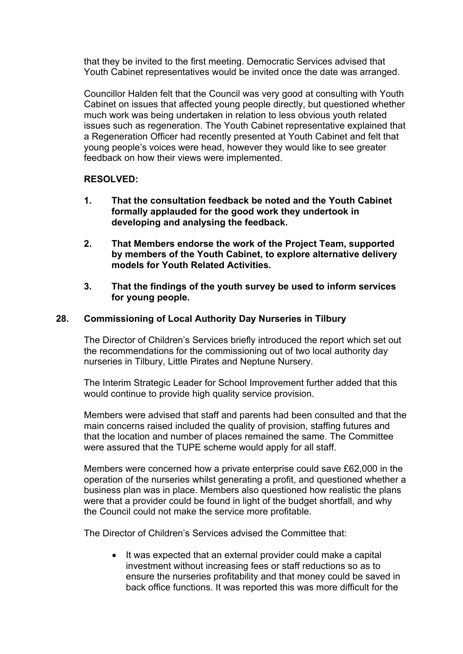that they be invited to the first meeting. Democratic Services advised that Youth Cabinet representatives would be invited once the date was arranged.

Councillor Halden felt that the Council was very good at consulting with Youth Cabinet on issues that affected young people directly, but questioned whether much work was being undertaken in relation to less obvious youth related issues such as regeneration. The Youth Cabinet representative explained that a Regeneration Officer had recently presented at Youth Cabinet and felt that young people's voices were head, however they would like to see greater feedback on how their views were implemented.

## **RESOLVED:**

- **1. That the consultation feedback be noted and the Youth Cabinet formally applauded for the good work they undertook in developing and analysing the feedback.**
- **2. That Members endorse the work of the Project Team, supported by members of the Youth Cabinet, to explore alternative delivery models for Youth Related Activities.**
- **3. That the findings of the youth survey be used to inform services for young people.**

## **28. Commissioning of Local Authority Day Nurseries in Tilbury**

The Director of Children's Services briefly introduced the report which set out the recommendations for the commissioning out of two local authority day nurseries in Tilbury, Little Pirates and Neptune Nursery.

The Interim Strategic Leader for School Improvement further added that this would continue to provide high quality service provision.

Members were advised that staff and parents had been consulted and that the main concerns raised included the quality of provision, staffing futures and that the location and number of places remained the same. The Committee were assured that the TUPE scheme would apply for all staff.

Members were concerned how a private enterprise could save £62,000 in the operation of the nurseries whilst generating a profit, and questioned whether a business plan was in place. Members also questioned how realistic the plans were that a provider could be found in light of the budget shortfall, and why the Council could not make the service more profitable.

The Director of Children's Services advised the Committee that:

• It was expected that an external provider could make a capital investment without increasing fees or staff reductions so as to ensure the nurseries profitability and that money could be saved in back office functions. It was reported this was more difficult for the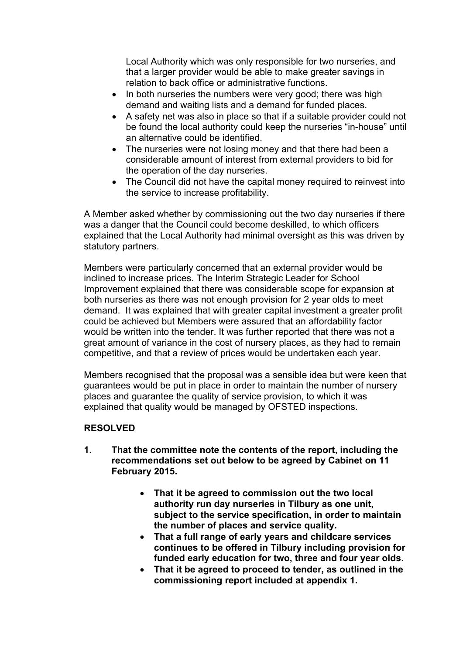Local Authority which was only responsible for two nurseries, and that a larger provider would be able to make greater savings in relation to back office or administrative functions.

- In both nurseries the numbers were very good; there was high demand and waiting lists and a demand for funded places.
- A safety net was also in place so that if a suitable provider could not be found the local authority could keep the nurseries "in-house" until an alternative could be identified.
- The nurseries were not losing money and that there had been a considerable amount of interest from external providers to bid for the operation of the day nurseries.
- The Council did not have the capital money required to reinvest into the service to increase profitability.

A Member asked whether by commissioning out the two day nurseries if there was a danger that the Council could become deskilled, to which officers explained that the Local Authority had minimal oversight as this was driven by statutory partners.

Members were particularly concerned that an external provider would be inclined to increase prices. The Interim Strategic Leader for School Improvement explained that there was considerable scope for expansion at both nurseries as there was not enough provision for 2 year olds to meet demand. It was explained that with greater capital investment a greater profit could be achieved but Members were assured that an affordability factor would be written into the tender. It was further reported that there was not a great amount of variance in the cost of nursery places, as they had to remain competitive, and that a review of prices would be undertaken each year.

Members recognised that the proposal was a sensible idea but were keen that guarantees would be put in place in order to maintain the number of nursery places and guarantee the quality of service provision, to which it was explained that quality would be managed by OFSTED inspections.

# **RESOLVED**

- **1. That the committee note the contents of the report, including the recommendations set out below to be agreed by Cabinet on 11 February 2015.**
	- **That it be agreed to commission out the two local authority run day nurseries in Tilbury as one unit, subject to the service specification, in order to maintain the number of places and service quality.**
	- **That a full range of early years and childcare services continues to be offered in Tilbury including provision for funded early education for two, three and four year olds.**
	- **That it be agreed to proceed to tender, as outlined in the commissioning report included at appendix 1.**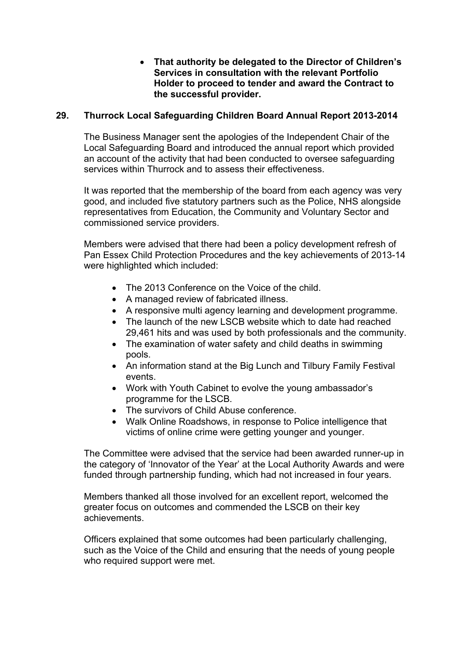**That authority be delegated to the Director of Children's Services in consultation with the relevant Portfolio Holder to proceed to tender and award the Contract to the successful provider.**

## **29. Thurrock Local Safeguarding Children Board Annual Report 2013-2014**

The Business Manager sent the apologies of the Independent Chair of the Local Safeguarding Board and introduced the annual report which provided an account of the activity that had been conducted to oversee safeguarding services within Thurrock and to assess their effectiveness.

It was reported that the membership of the board from each agency was very good, and included five statutory partners such as the Police, NHS alongside representatives from Education, the Community and Voluntary Sector and commissioned service providers.

Members were advised that there had been a policy development refresh of Pan Essex Child Protection Procedures and the key achievements of 2013-14 were highlighted which included:

- The 2013 Conference on the Voice of the child.
- A managed review of fabricated illness.
- A responsive multi agency learning and development programme.
- The launch of the new LSCB website which to date had reached 29,461 hits and was used by both professionals and the community.
- The examination of water safety and child deaths in swimming pools.
- An information stand at the Big Lunch and Tilbury Family Festival events.
- Work with Youth Cabinet to evolve the young ambassador's programme for the LSCB.
- The survivors of Child Abuse conference.
- Walk Online Roadshows, in response to Police intelligence that victims of online crime were getting younger and younger.

The Committee were advised that the service had been awarded runner-up in the category of 'Innovator of the Year' at the Local Authority Awards and were funded through partnership funding, which had not increased in four years.

Members thanked all those involved for an excellent report, welcomed the greater focus on outcomes and commended the LSCB on their key achievements.

Officers explained that some outcomes had been particularly challenging, such as the Voice of the Child and ensuring that the needs of young people who required support were met.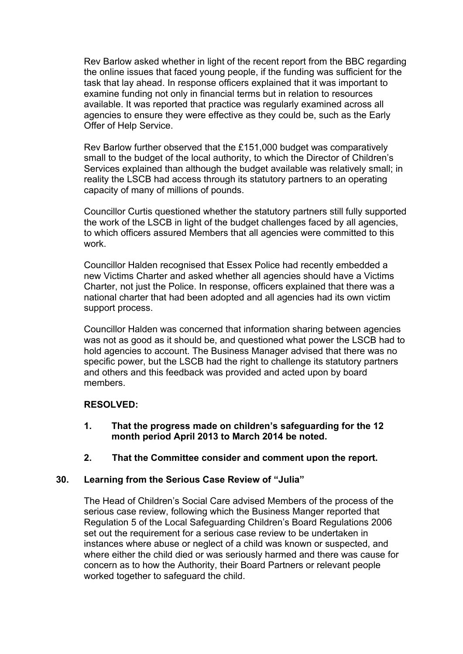Rev Barlow asked whether in light of the recent report from the BBC regarding the online issues that faced young people, if the funding was sufficient for the task that lay ahead. In response officers explained that it was important to examine funding not only in financial terms but in relation to resources available. It was reported that practice was regularly examined across all agencies to ensure they were effective as they could be, such as the Early Offer of Help Service.

Rev Barlow further observed that the £151,000 budget was comparatively small to the budget of the local authority, to which the Director of Children's Services explained than although the budget available was relatively small; in reality the LSCB had access through its statutory partners to an operating capacity of many of millions of pounds.

Councillor Curtis questioned whether the statutory partners still fully supported the work of the LSCB in light of the budget challenges faced by all agencies, to which officers assured Members that all agencies were committed to this work.

Councillor Halden recognised that Essex Police had recently embedded a new Victims Charter and asked whether all agencies should have a Victims Charter, not just the Police. In response, officers explained that there was a national charter that had been adopted and all agencies had its own victim support process.

Councillor Halden was concerned that information sharing between agencies was not as good as it should be, and questioned what power the LSCB had to hold agencies to account. The Business Manager advised that there was no specific power, but the LSCB had the right to challenge its statutory partners and others and this feedback was provided and acted upon by board members.

## **RESOLVED:**

- **1. That the progress made on children's safeguarding for the 12 month period April 2013 to March 2014 be noted.**
- **2. That the Committee consider and comment upon the report.**

# **30. Learning from the Serious Case Review of "Julia"**

The Head of Children's Social Care advised Members of the process of the serious case review, following which the Business Manger reported that Regulation 5 of the Local Safeguarding Children's Board Regulations 2006 set out the requirement for a serious case review to be undertaken in instances where abuse or neglect of a child was known or suspected, and where either the child died or was seriously harmed and there was cause for concern as to how the Authority, their Board Partners or relevant people worked together to safeguard the child.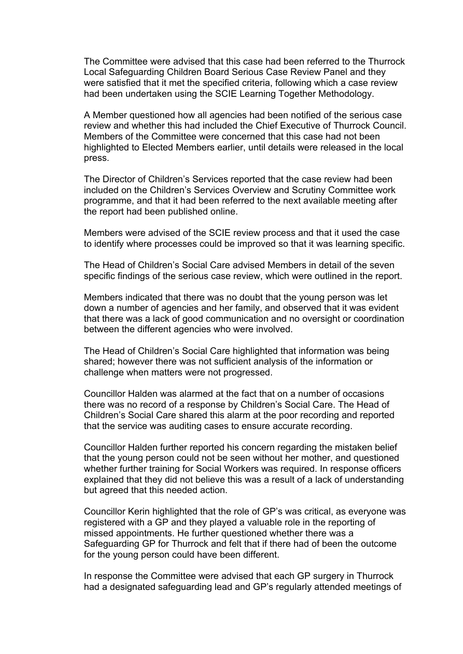The Committee were advised that this case had been referred to the Thurrock Local Safeguarding Children Board Serious Case Review Panel and they were satisfied that it met the specified criteria, following which a case review had been undertaken using the SCIE Learning Together Methodology.

A Member questioned how all agencies had been notified of the serious case review and whether this had included the Chief Executive of Thurrock Council. Members of the Committee were concerned that this case had not been highlighted to Elected Members earlier, until details were released in the local press.

The Director of Children's Services reported that the case review had been included on the Children's Services Overview and Scrutiny Committee work programme, and that it had been referred to the next available meeting after the report had been published online.

Members were advised of the SCIE review process and that it used the case to identify where processes could be improved so that it was learning specific.

The Head of Children's Social Care advised Members in detail of the seven specific findings of the serious case review, which were outlined in the report.

Members indicated that there was no doubt that the young person was let down a number of agencies and her family, and observed that it was evident that there was a lack of good communication and no oversight or coordination between the different agencies who were involved.

The Head of Children's Social Care highlighted that information was being shared; however there was not sufficient analysis of the information or challenge when matters were not progressed.

Councillor Halden was alarmed at the fact that on a number of occasions there was no record of a response by Children's Social Care. The Head of Children's Social Care shared this alarm at the poor recording and reported that the service was auditing cases to ensure accurate recording.

Councillor Halden further reported his concern regarding the mistaken belief that the young person could not be seen without her mother, and questioned whether further training for Social Workers was required. In response officers explained that they did not believe this was a result of a lack of understanding but agreed that this needed action.

Councillor Kerin highlighted that the role of GP's was critical, as everyone was registered with a GP and they played a valuable role in the reporting of missed appointments. He further questioned whether there was a Safeguarding GP for Thurrock and felt that if there had of been the outcome for the young person could have been different.

In response the Committee were advised that each GP surgery in Thurrock had a designated safeguarding lead and GP's regularly attended meetings of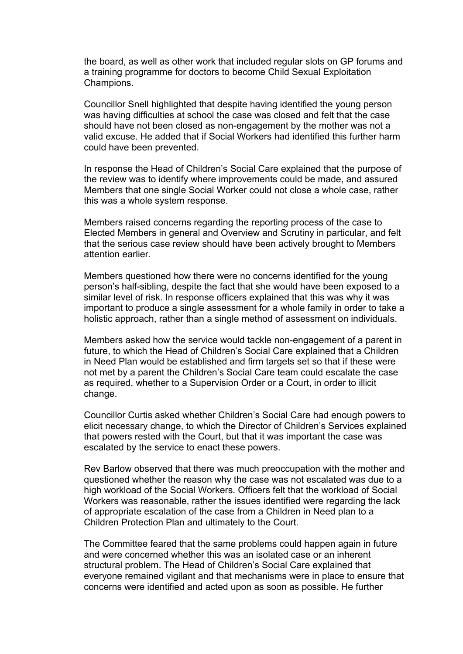the board, as well as other work that included regular slots on GP forums and a training programme for doctors to become Child Sexual Exploitation Champions.

Councillor Snell highlighted that despite having identified the young person was having difficulties at school the case was closed and felt that the case should have not been closed as non-engagement by the mother was not a valid excuse. He added that if Social Workers had identified this further harm could have been prevented.

In response the Head of Children's Social Care explained that the purpose of the review was to identify where improvements could be made, and assured Members that one single Social Worker could not close a whole case, rather this was a whole system response.

Members raised concerns regarding the reporting process of the case to Elected Members in general and Overview and Scrutiny in particular, and felt that the serious case review should have been actively brought to Members attention earlier.

Members questioned how there were no concerns identified for the young person's half-sibling, despite the fact that she would have been exposed to a similar level of risk. In response officers explained that this was why it was important to produce a single assessment for a whole family in order to take a holistic approach, rather than a single method of assessment on individuals.

Members asked how the service would tackle non-engagement of a parent in future, to which the Head of Children's Social Care explained that a Children in Need Plan would be established and firm targets set so that if these were not met by a parent the Children's Social Care team could escalate the case as required, whether to a Supervision Order or a Court, in order to illicit change.

Councillor Curtis asked whether Children's Social Care had enough powers to elicit necessary change, to which the Director of Children's Services explained that powers rested with the Court, but that it was important the case was escalated by the service to enact these powers.

Rev Barlow observed that there was much preoccupation with the mother and questioned whether the reason why the case was not escalated was due to a high workload of the Social Workers. Officers felt that the workload of Social Workers was reasonable, rather the issues identified were regarding the lack of appropriate escalation of the case from a Children in Need plan to a Children Protection Plan and ultimately to the Court.

The Committee feared that the same problems could happen again in future and were concerned whether this was an isolated case or an inherent structural problem. The Head of Children's Social Care explained that everyone remained vigilant and that mechanisms were in place to ensure that concerns were identified and acted upon as soon as possible. He further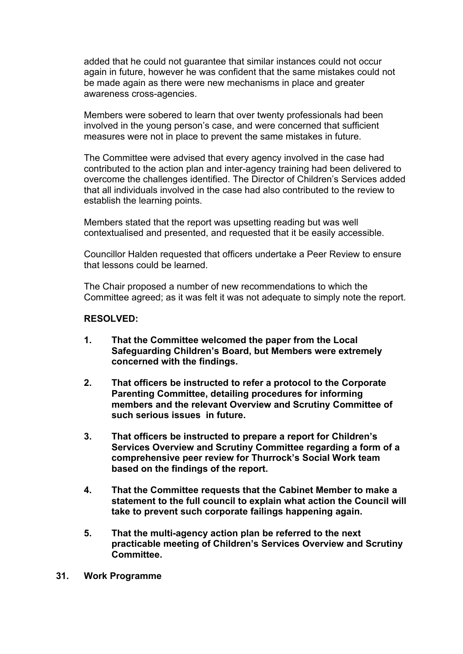added that he could not guarantee that similar instances could not occur again in future, however he was confident that the same mistakes could not be made again as there were new mechanisms in place and greater awareness cross-agencies.

Members were sobered to learn that over twenty professionals had been involved in the young person's case, and were concerned that sufficient measures were not in place to prevent the same mistakes in future.

The Committee were advised that every agency involved in the case had contributed to the action plan and inter-agency training had been delivered to overcome the challenges identified. The Director of Children's Services added that all individuals involved in the case had also contributed to the review to establish the learning points.

Members stated that the report was upsetting reading but was well contextualised and presented, and requested that it be easily accessible.

Councillor Halden requested that officers undertake a Peer Review to ensure that lessons could be learned.

The Chair proposed a number of new recommendations to which the Committee agreed; as it was felt it was not adequate to simply note the report.

### **RESOLVED:**

- **1. That the Committee welcomed the paper from the Local Safeguarding Children's Board, but Members were extremely concerned with the findings.**
- **2. That officers be instructed to refer a protocol to the Corporate Parenting Committee, detailing procedures for informing members and the relevant Overview and Scrutiny Committee of such serious issues in future.**
- **3. That officers be instructed to prepare a report for Children's Services Overview and Scrutiny Committee regarding a form of a comprehensive peer review for Thurrock's Social Work team based on the findings of the report.**
- **4. That the Committee requests that the Cabinet Member to make a statement to the full council to explain what action the Council will take to prevent such corporate failings happening again.**
- **5. That the multi-agency action plan be referred to the next practicable meeting of Children's Services Overview and Scrutiny Committee.**
- **31. Work Programme**